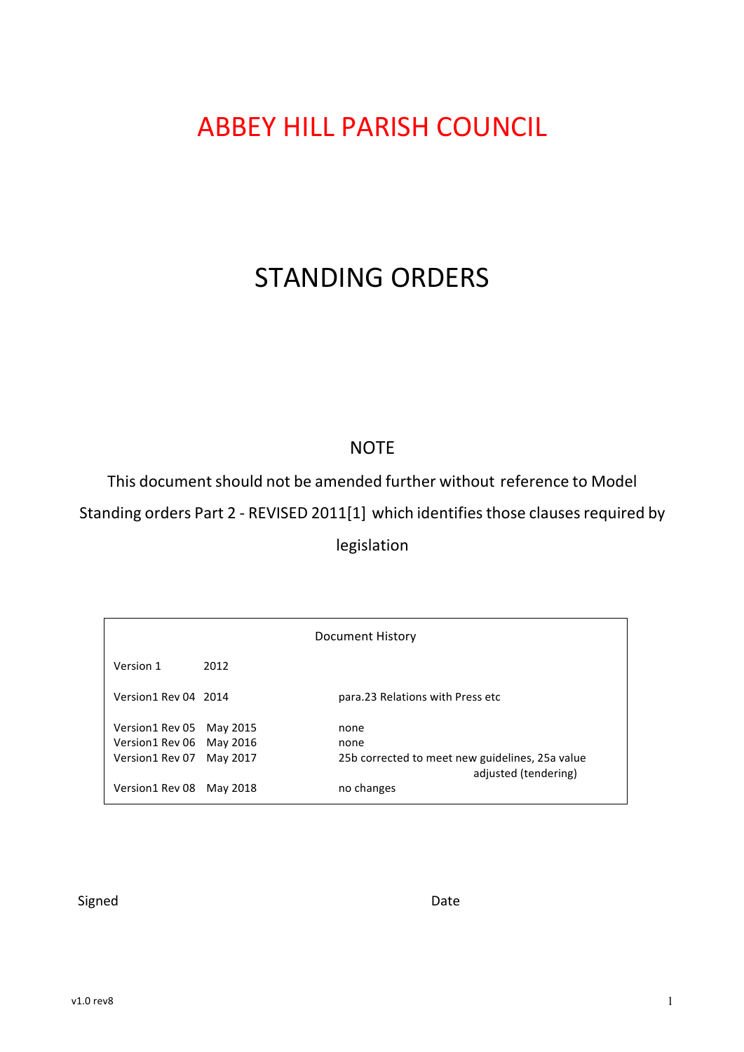# **ABBEY HILL PARISH COUNCIL**

# STANDING ORDERS

# **NOTE**

This document should not be amended further without reference to Model Standing orders Part 2 - REVISED 2011[1] which identifies those clauses required by legislation

| Document History         |          |                                                                         |  |  |  |  |  |  |
|--------------------------|----------|-------------------------------------------------------------------------|--|--|--|--|--|--|
| Version 1                | 2012     |                                                                         |  |  |  |  |  |  |
| Version1 Rev 04 2014     |          | para.23 Relations with Press etc                                        |  |  |  |  |  |  |
| Version1 Rev 05          | May 2015 | none                                                                    |  |  |  |  |  |  |
| Version1 Rev 06 May 2016 |          | none                                                                    |  |  |  |  |  |  |
| Version1 Rev 07          | May 2017 | 25b corrected to meet new guidelines, 25a value<br>adjusted (tendering) |  |  |  |  |  |  |
| Version1 Rev 08 May 2018 |          | no changes                                                              |  |  |  |  |  |  |

Signed Date Date Date Date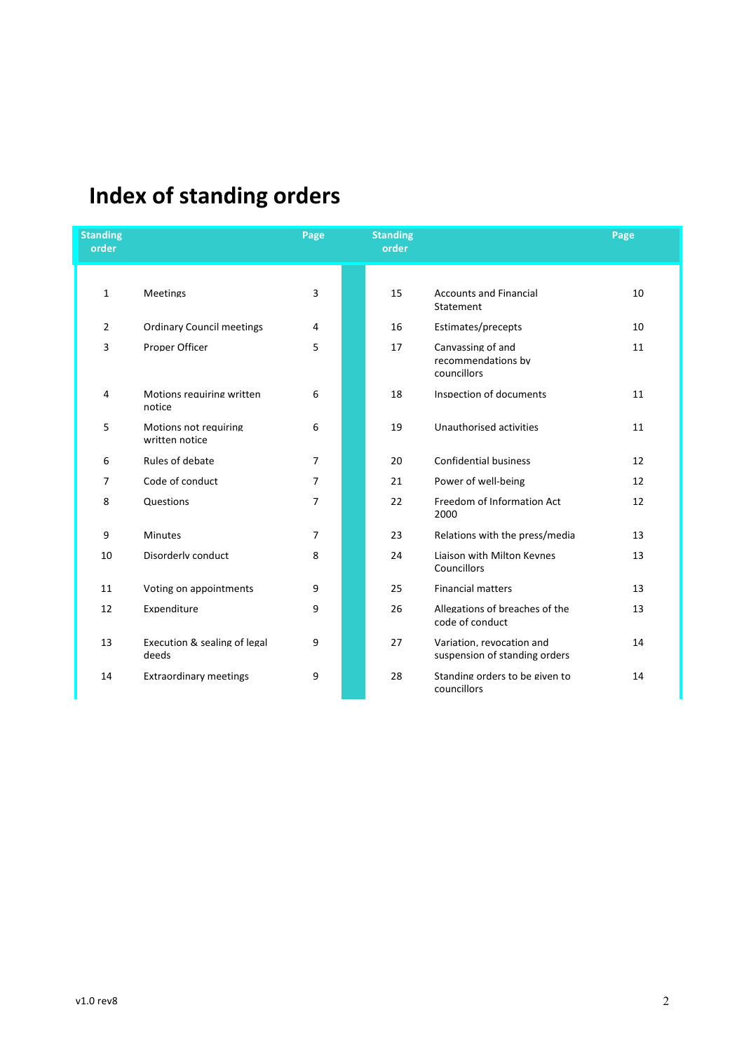# **Index of standing orders**

| <b>Standing</b><br>order |                                         | Page           | <b>Standing</b><br>order |                                                            | Page |
|--------------------------|-----------------------------------------|----------------|--------------------------|------------------------------------------------------------|------|
|                          |                                         |                |                          |                                                            |      |
| $\mathbf{1}$             | <b>Meetings</b>                         | 3              | 15                       | <b>Accounts and Financial</b><br>Statement                 | 10   |
| $\overline{2}$           | <b>Ordinary Council meetings</b>        | 4              | 16                       | Estimates/precepts                                         | 10   |
| 3                        | Proper Officer                          | 5              | 17                       | Canvassing of and<br>recommendations by<br>councillors     | 11   |
| 4                        | Motions requiring written<br>notice     | 6              | 18                       | Inspection of documents                                    | 11   |
| 5                        | Motions not requiring<br>written notice | 6              | 19                       | Unauthorised activities                                    | 11   |
| 6                        | Rules of debate                         | 7              | 20                       | <b>Confidential business</b>                               | 12   |
| $\overline{7}$           | Code of conduct                         | 7              | 21                       | Power of well-being                                        | 12   |
| 8                        | Questions                               | $\overline{7}$ | 22                       | Freedom of Information Act<br>2000                         | 12   |
| 9                        | <b>Minutes</b>                          | 7              | 23                       | Relations with the press/media                             | 13   |
| 10                       | Disorderly conduct                      | 8              | 24                       | Liaison with Milton Keynes<br>Councillors                  | 13   |
| 11                       | Voting on appointments                  | 9              | 25                       | <b>Financial matters</b>                                   | 13   |
| 12                       | Expenditure                             | 9              | 26                       | Allegations of breaches of the<br>code of conduct          | 13   |
| 13                       | Execution & sealing of legal<br>deeds   | 9              | 27                       | Variation, revocation and<br>suspension of standing orders | 14   |
| 14                       | <b>Extraordinary meetings</b>           | 9              | 28                       | Standing orders to be given to<br>councillors              | 14   |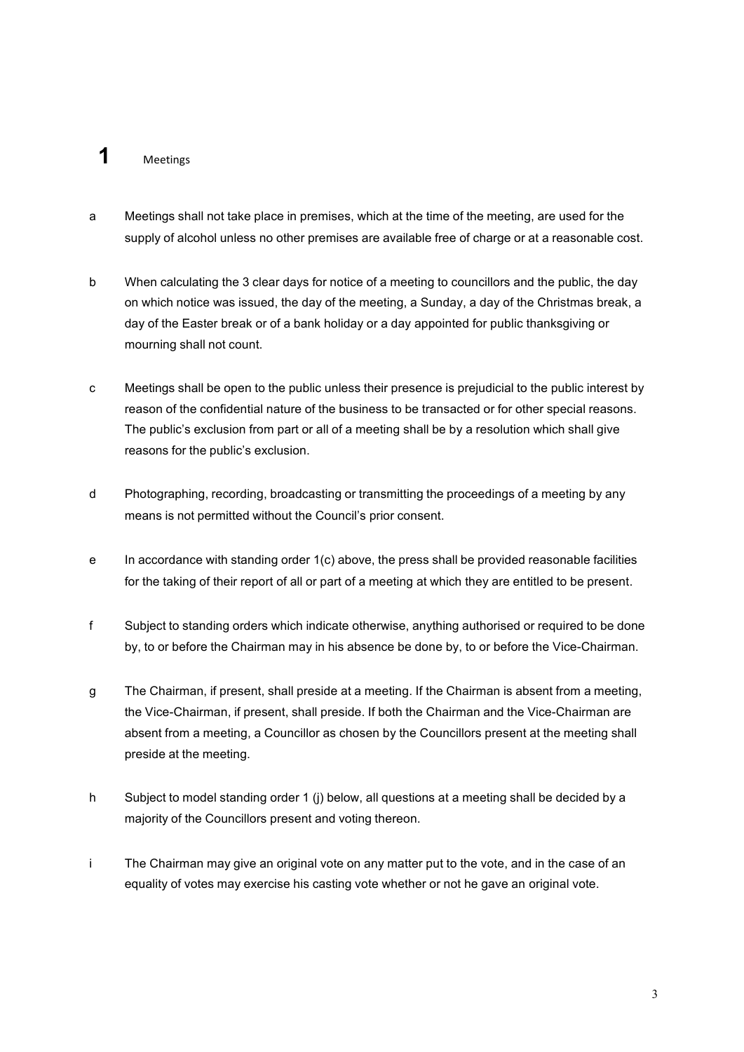# **1** Meetings

- a Meetings shall not take place in premises, which at the time of the meeting, are used for the supply of alcohol unless no other premises are available free of charge or at a reasonable cost.
- b When calculating the 3 clear days for notice of a meeting to councillors and the public, the day on which notice was issued, the day of the meeting, a Sunday, a day of the Christmas break, a day of the Easter break or of a bank holiday or a day appointed for public thanksgiving or mourning shall not count.
- c Meetings shall be open to the public unless their presence is prejudicial to the public interest by reason of the confidential nature of the business to be transacted or for other special reasons. The public's exclusion from part or all of a meeting shall be by a resolution which shall give reasons for the public's exclusion.
- d Photographing, recording, broadcasting or transmitting the proceedings of a meeting by any means is not permitted without the Council's prior consent.
- e In accordance with standing order 1(c) above, the press shall be provided reasonable facilities for the taking of their report of all or part of a meeting at which they are entitled to be present.
- f Subject to standing orders which indicate otherwise, anything authorised or required to be done by, to or before the Chairman may in his absence be done by, to or before the Vice-Chairman.
- g The Chairman, if present, shall preside at a meeting. If the Chairman is absent from a meeting, the Vice-Chairman, if present, shall preside. If both the Chairman and the Vice-Chairman are absent from a meeting, a Councillor as chosen by the Councillors present at the meeting shall preside at the meeting.
- h Subject to model standing order 1 (j) below, all questions at a meeting shall be decided by a majority of the Councillors present and voting thereon.
- i The Chairman may give an original vote on any matter put to the vote, and in the case of an equality of votes may exercise his casting vote whether or not he gave an original vote.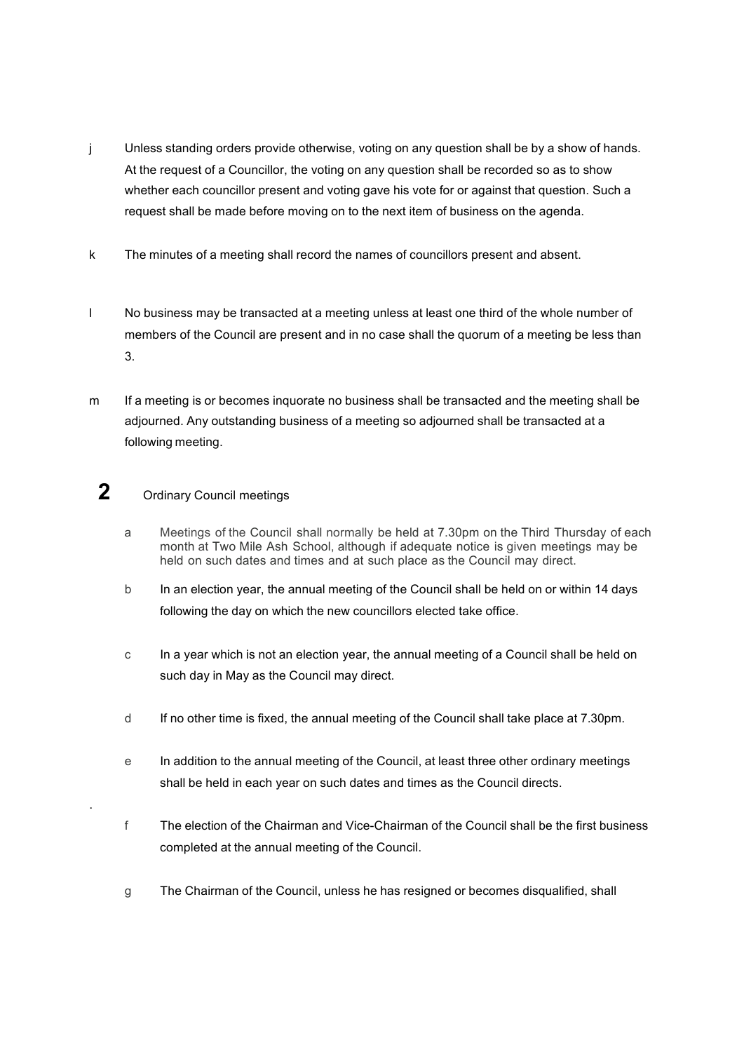- j Unless standing orders provide otherwise, voting on any question shall be by a show of hands. At the request of a Councillor, the voting on any question shall be recorded so as to show whether each councillor present and voting gave his vote for or against that question. Such a request shall be made before moving on to the next item of business on the agenda.
- k The minutes of a meeting shall record the names of councillors present and absent.
- l No business may be transacted at a meeting unless at least one third of the whole number of members of the Council are present and in no case shall the quorum of a meeting be less than 3.
- m If a meeting is or becomes inquorate no business shall be transacted and the meeting shall be adjourned. Any outstanding business of a meeting so adjourned shall be transacted at a following meeting.

# **2** Ordinary Council meetings

.

- a Meetings of the Council shall normally be held at 7.30pm on the Third Thursday of each month at Two Mile Ash School, although if adequate notice is given meetings may be held on such dates and times and at such place as the Council may direct.
- b In an election year, the annual meeting of the Council shall be held on or within 14 days following the day on which the new councillors elected take office.
- c In a year which is not an election year, the annual meeting of a Council shall be held on such day in May as the Council may direct.
- d If no other time is fixed, the annual meeting of the Council shall take place at 7.30pm.
- e In addition to the annual meeting of the Council, at least three other ordinary meetings shall be held in each year on such dates and times as the Council directs.
- f The election of the Chairman and Vice-Chairman of the Council shall be the first business completed at the annual meeting of the Council.
- g The Chairman of the Council, unless he has resigned or becomes disqualified, shall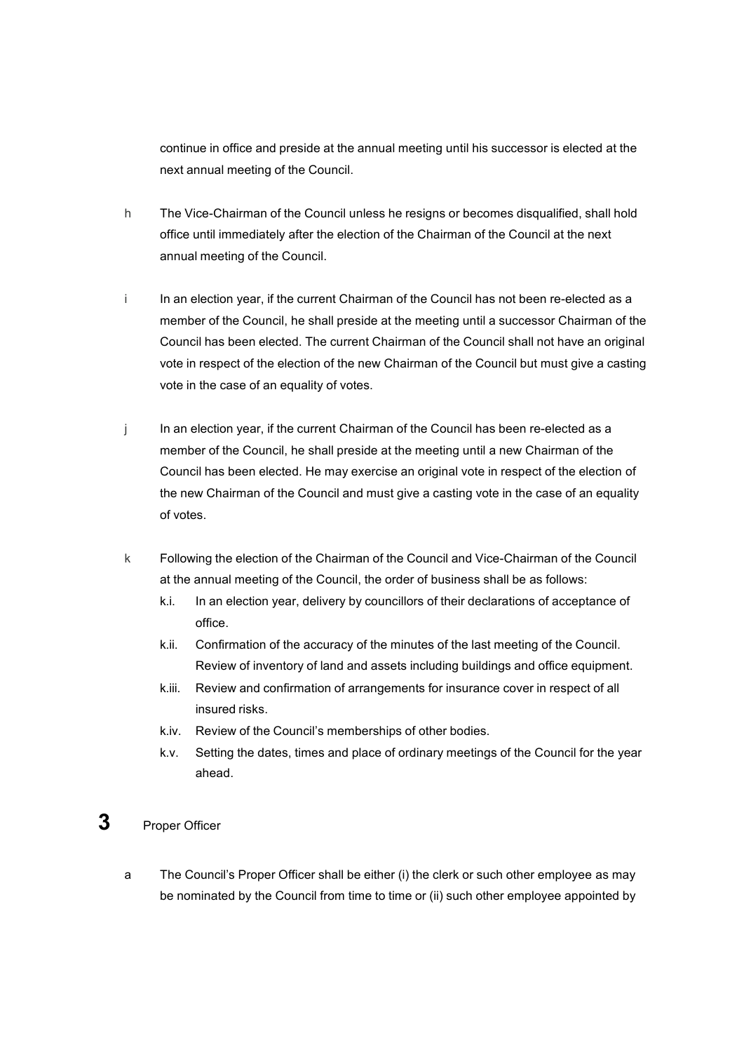continue in office and preside at the annual meeting until his successor is elected at the next annual meeting of the Council.

- h The Vice-Chairman of the Council unless he resigns or becomes disqualified, shall hold office until immediately after the election of the Chairman of the Council at the next annual meeting of the Council.
- i In an election year, if the current Chairman of the Council has not been re-elected as a member of the Council, he shall preside at the meeting until a successor Chairman of the Council has been elected. The current Chairman of the Council shall not have an original vote in respect of the election of the new Chairman of the Council but must give a casting vote in the case of an equality of votes.
- j In an election year, if the current Chairman of the Council has been re-elected as a member of the Council, he shall preside at the meeting until a new Chairman of the Council has been elected. He may exercise an original vote in respect of the election of the new Chairman of the Council and must give a casting vote in the case of an equality of votes.
- k Following the election of the Chairman of the Council and Vice-Chairman of the Council at the annual meeting of the Council, the order of business shall be as follows:
	- k.i. In an election year, delivery by councillors of their declarations of acceptance of office.
	- k.ii. Confirmation of the accuracy of the minutes of the last meeting of the Council. Review of inventory of land and assets including buildings and office equipment.
	- k.iii. Review and confirmation of arrangements for insurance cover in respect of all insured risks.
	- k.iv. Review of the Council's memberships of other bodies.
	- k.v. Setting the dates, times and place of ordinary meetings of the Council for the year ahead.

# **3** Proper Officer

a The Council's Proper Officer shall be either (i) the clerk or such other employee as may be nominated by the Council from time to time or (ii) such other employee appointed by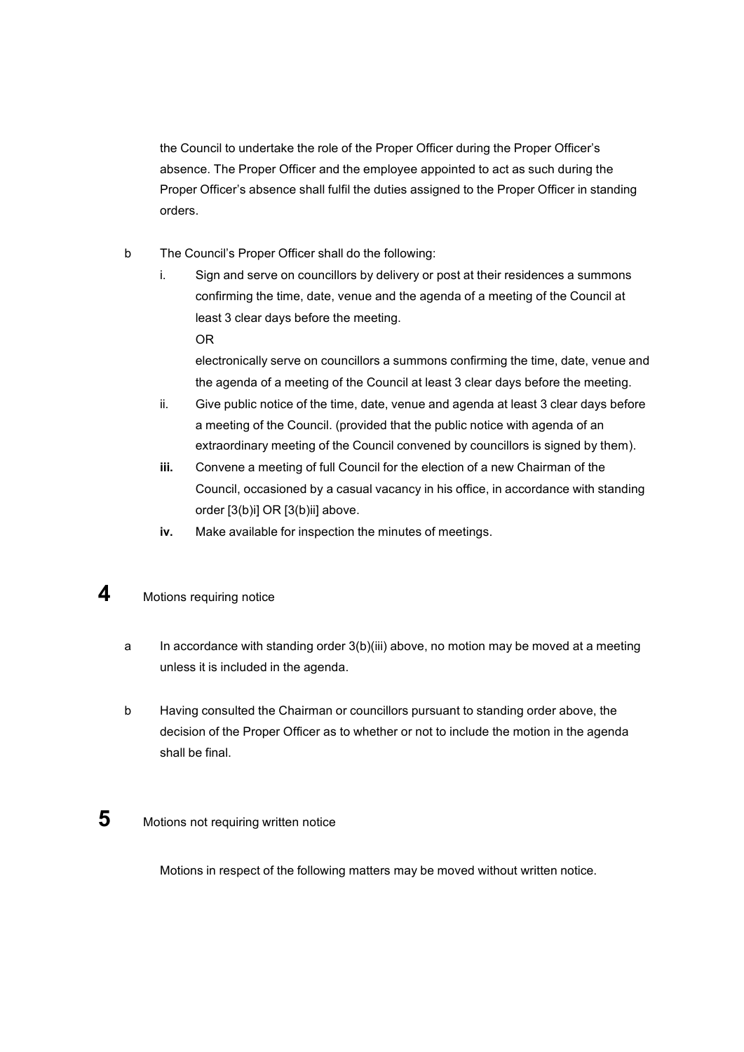the Council to undertake the role of the Proper Officer during the Proper Officer's absence. The Proper Officer and the employee appointed to act as such during the Proper Officer's absence shall fulfil the duties assigned to the Proper Officer in standing orders.

- b The Council's Proper Officer shall do the following:
	- i. Sign and serve on councillors by delivery or post at their residences a summons confirming the time, date, venue and the agenda of a meeting of the Council at least 3 clear days before the meeting. OR

electronically serve on councillors a summons confirming the time, date, venue and the agenda of a meeting of the Council at least 3 clear days before the meeting.

- ii. Give public notice of the time, date, venue and agenda at least 3 clear days before a meeting of the Council. (provided that the public notice with agenda of an extraordinary meeting of the Council convened by councillors is signed by them).
- **iii.** Convene a meeting of full Council for the election of a new Chairman of the Council, occasioned by a casual vacancy in his office, in accordance with standing order [3(b)i] OR [3(b)ii] above.
- **iv.** Make available for inspection the minutes of meetings.
- **4** Motions requiring notice
	- a In accordance with standing order 3(b)(iii) above, no motion may be moved at a meeting unless it is included in the agenda.
	- b Having consulted the Chairman or councillors pursuant to standing order above, the decision of the Proper Officer as to whether or not to include the motion in the agenda shall be final.
- **5** Motions not requiring written notice

Motions in respect of the following matters may be moved without written notice.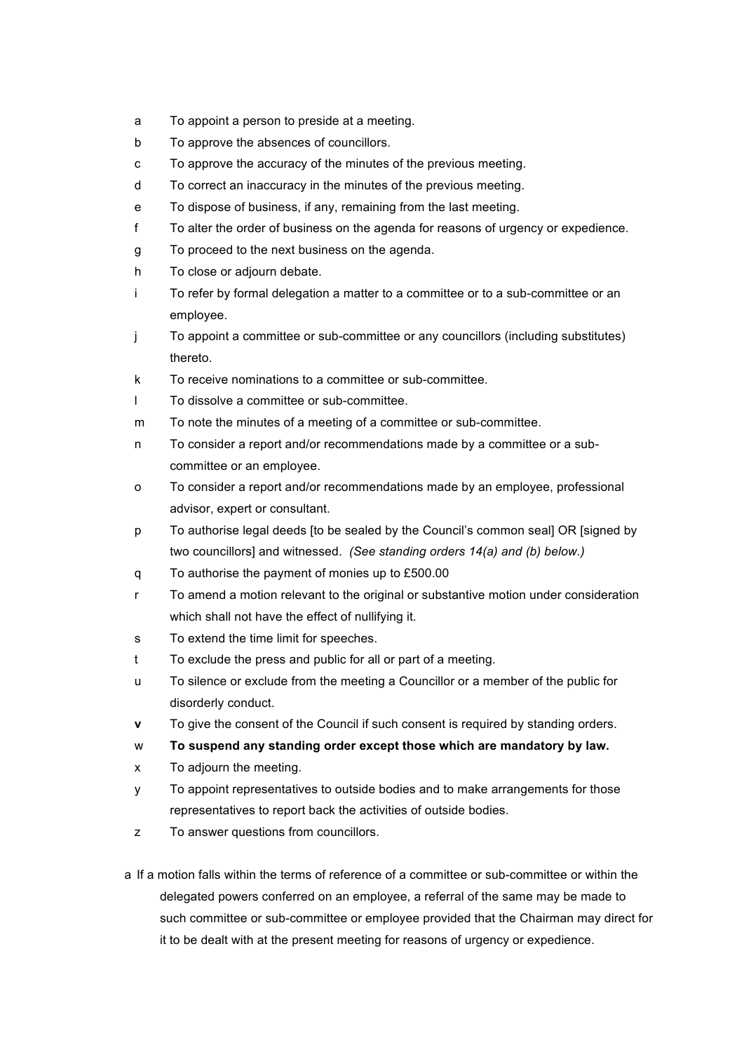- a To appoint a person to preside at a meeting.
- b To approve the absences of councillors.
- c To approve the accuracy of the minutes of the previous meeting.
- d To correct an inaccuracy in the minutes of the previous meeting.
- e To dispose of business, if any, remaining from the last meeting.
- f To alter the order of business on the agenda for reasons of urgency or expedience.
- g To proceed to the next business on the agenda.
- h To close or adjourn debate.
- i To refer by formal delegation a matter to a committee or to a sub-committee or an employee.
- j To appoint a committee or sub-committee or any councillors (including substitutes) thereto.
- k To receive nominations to a committee or sub-committee.
- l To dissolve a committee or sub-committee.
- m To note the minutes of a meeting of a committee or sub-committee.
- n To consider a report and/or recommendations made by a committee or a subcommittee or an employee.
- o To consider a report and/or recommendations made by an employee, professional advisor, expert or consultant.
- p To authorise legal deeds [to be sealed by the Council's common seal] OR [signed by two councillors] and witnessed. *(See standing orders 14(a) and (b) below.)*
- q To authorise the payment of monies up to £500.00
- r To amend a motion relevant to the original or substantive motion under consideration which shall not have the effect of nullifying it.
- s To extend the time limit for speeches.
- t To exclude the press and public for all or part of a meeting.
- u To silence or exclude from the meeting a Councillor or a member of the public for disorderly conduct.
- **v** To give the consent of the Council if such consent is required by standing orders.
- w **To suspend any standing order except those which are mandatory by law.**
- x To adjourn the meeting.
- y To appoint representatives to outside bodies and to make arrangements for those representatives to report back the activities of outside bodies.
- z To answer questions from councillors.
- a If a motion falls within the terms of reference of a committee or sub-committee or within the delegated powers conferred on an employee, a referral of the same may be made to such committee or sub-committee or employee provided that the Chairman may direct for it to be dealt with at the present meeting for reasons of urgency or expedience.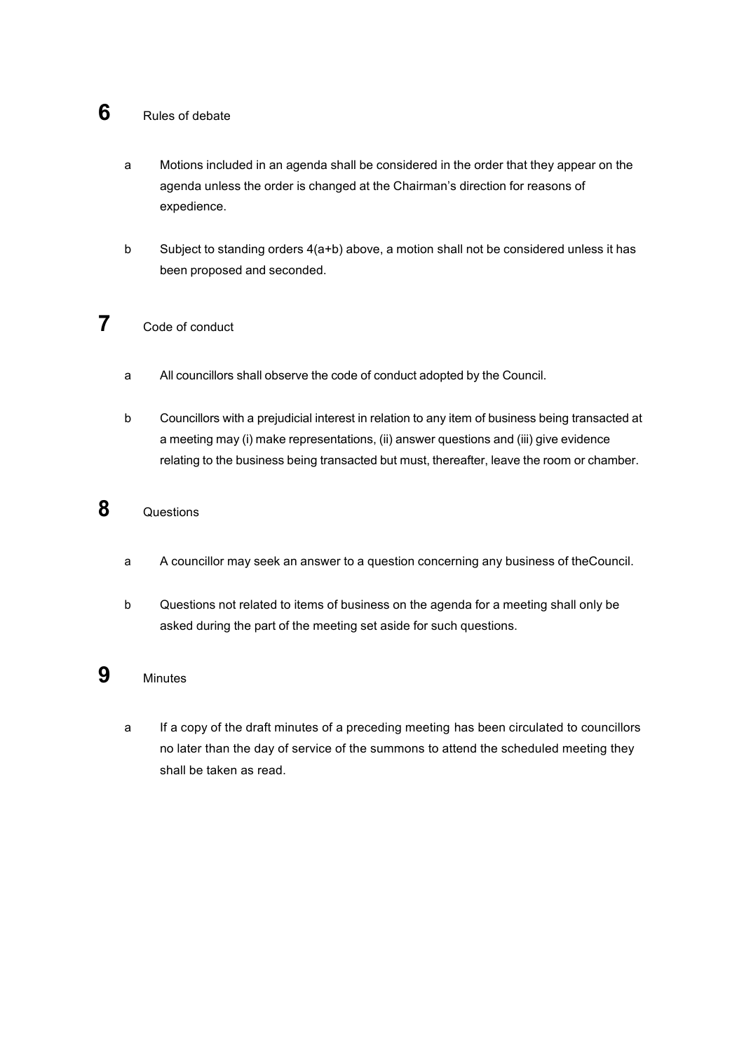# **6** Rules of debate

- a Motions included in an agenda shall be considered in the order that they appear on the agenda unless the order is changed at the Chairman's direction for reasons of expedience.
- b Subject to standing orders 4(a+b) above, a motion shall not be considered unless it has been proposed and seconded.

# **7** Code of conduct

- a All councillors shall observe the code of conduct adopted by the Council.
- b Councillors with a prejudicial interest in relation to any item of business being transacted at a meeting may (i) make representations, (ii) answer questions and (iii) give evidence relating to the business being transacted but must, thereafter, leave the room or chamber.

# **8** Questions

- a A councillor may seek an answer to a question concerning any business of theCouncil.
- b Questions not related to items of business on the agenda for a meeting shall only be asked during the part of the meeting set aside for such questions.

#### **9** Minutes

a If a copy of the draft minutes of a preceding meeting has been circulated to councillors no later than the day of service of the summons to attend the scheduled meeting they shall be taken as read.

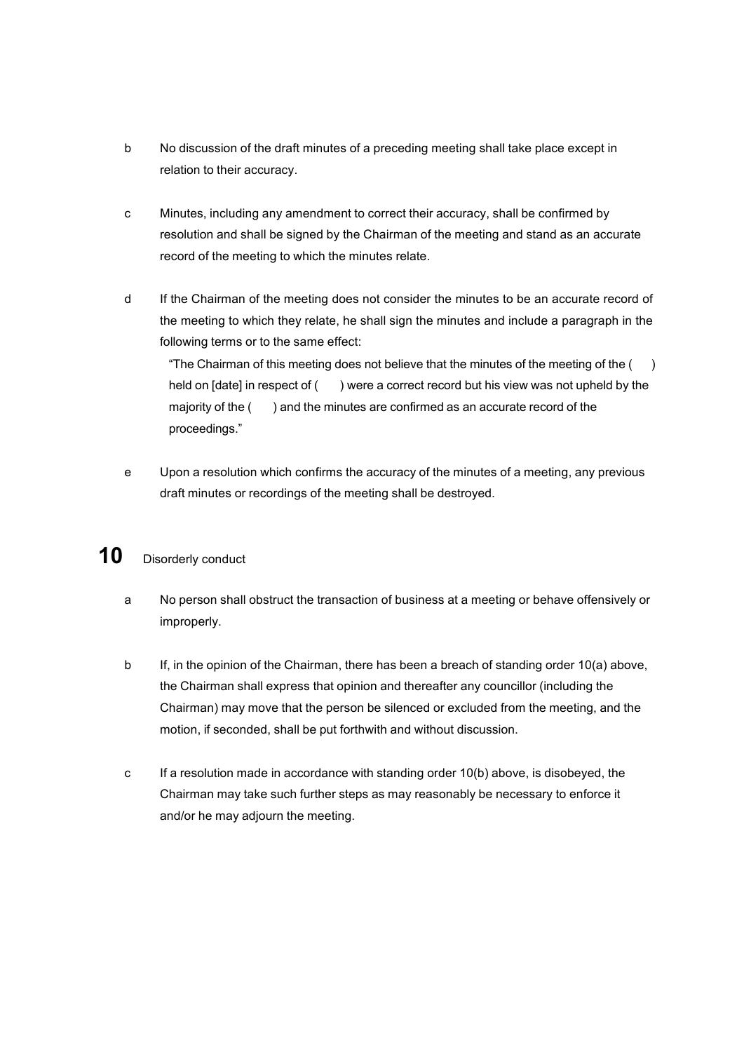- b No discussion of the draft minutes of a preceding meeting shall take place except in relation to their accuracy.
- c Minutes, including any amendment to correct their accuracy, shall be confirmed by resolution and shall be signed by the Chairman of the meeting and stand as an accurate record of the meeting to which the minutes relate.
- d If the Chairman of the meeting does not consider the minutes to be an accurate record of the meeting to which they relate, he shall sign the minutes and include a paragraph in the following terms or to the same effect:

"The Chairman of this meeting does not believe that the minutes of the meeting of the  $($ ) held on [date] in respect of () were a correct record but his view was not upheld by the majority of the () and the minutes are confirmed as an accurate record of the proceedings."

e Upon a resolution which confirms the accuracy of the minutes of a meeting, any previous draft minutes or recordings of the meeting shall be destroyed.

# 10 Disorderly conduct

- a No person shall obstruct the transaction of business at a meeting or behave offensively or improperly.
- b If, in the opinion of the Chairman, there has been a breach of standing order 10(a) above, the Chairman shall express that opinion and thereafter any councillor (including the Chairman) may move that the person be silenced or excluded from the meeting, and the motion, if seconded, shall be put forthwith and without discussion.
- c If a resolution made in accordance with standing order 10(b) above, is disobeyed, the Chairman may take such further steps as may reasonably be necessary to enforce it and/or he may adjourn the meeting.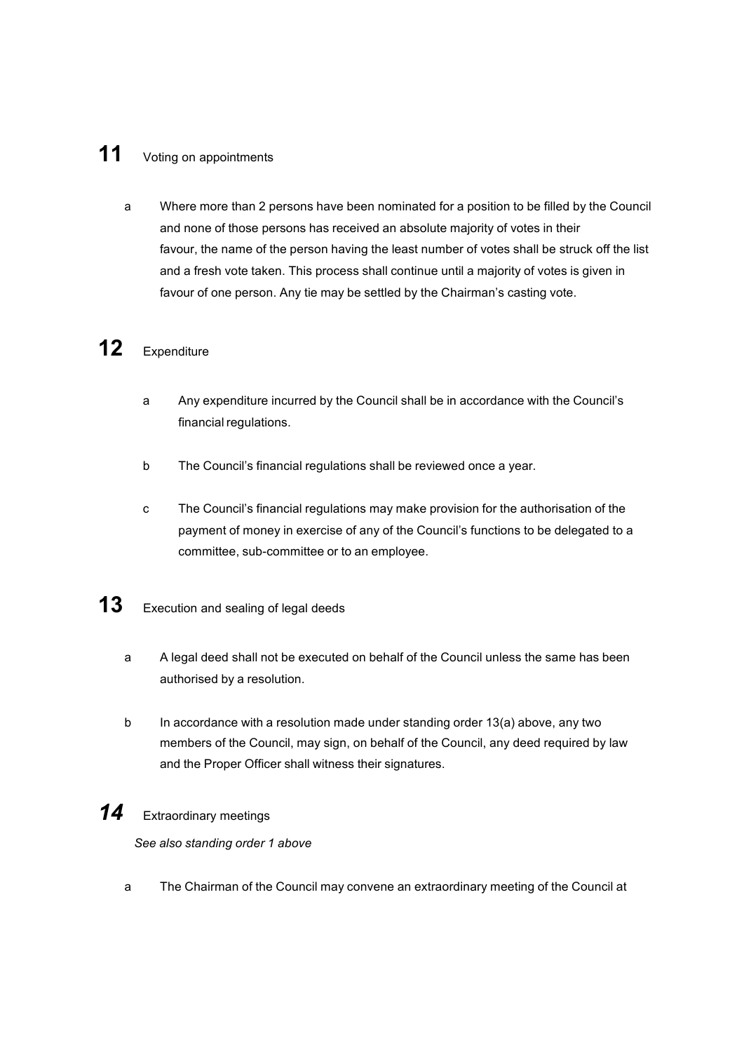# **11** Voting on appointments

a Where more than 2 persons have been nominated for a position to be filled by the Council and none of those persons has received an absolute majority of votes in their favour, the name of the person having the least number of votes shall be struck off the list and a fresh vote taken. This process shall continue until a majority of votes is given in favour of one person. Any tie may be settled by the Chairman's casting vote.

# **12** Expenditure

- a Any expenditure incurred by the Council shall be in accordance with the Council's financial regulations.
- b The Council's financial regulations shall be reviewed once a year.
- c The Council's financial regulations may make provision for the authorisation of the payment of money in exercise of any of the Council's functions to be delegated to a committee, sub-committee or to an employee.
- **13** Execution and sealing of legal deeds
	- a A legal deed shall not be executed on behalf of the Council unless the same has been authorised by a resolution.
	- b In accordance with a resolution made under standing order 13(a) above, any two members of the Council, may sign, on behalf of the Council, any deed required by law and the Proper Officer shall witness their signatures.

#### *14* Extraordinary meetings

*See also standing order 1 above*

a The Chairman of the Council may convene an extraordinary meeting of the Council at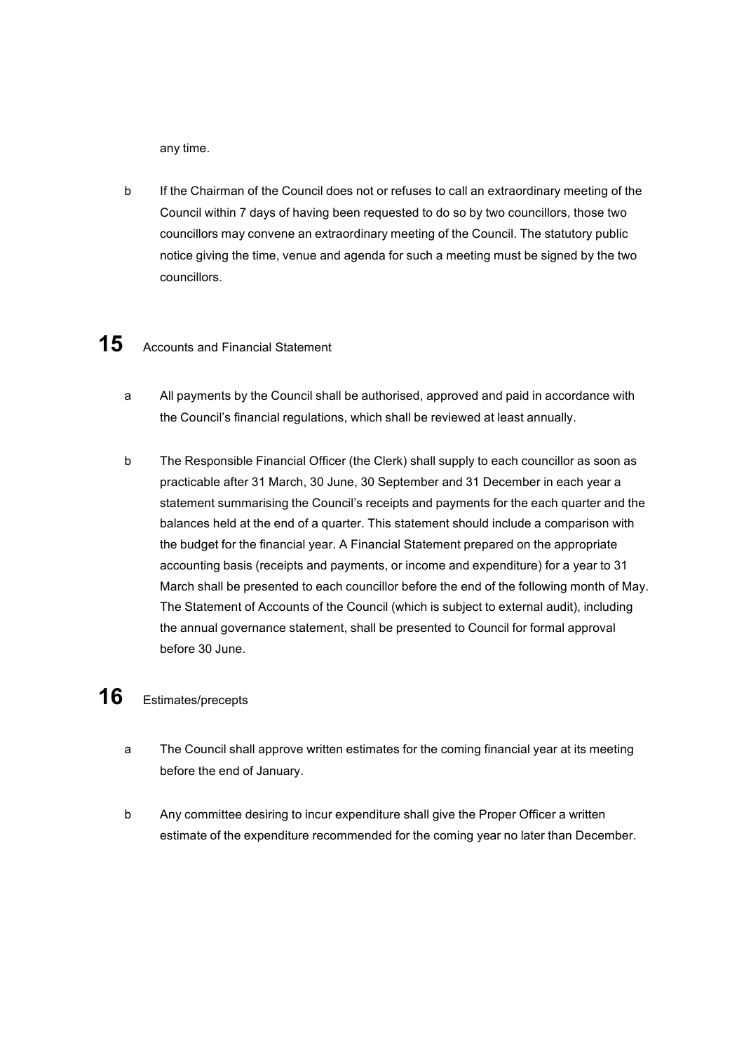any time.

b If the Chairman of the Council does not or refuses to call an extraordinary meeting of the Council within 7 days of having been requested to do so by two councillors, those two councillors may convene an extraordinary meeting of the Council. The statutory public notice giving the time, venue and agenda for such a meeting must be signed by the two councillors.

# 15 Accounts and Financial Statement

- a All payments by the Council shall be authorised, approved and paid in accordance with the Council's financial regulations, which shall be reviewed at least annually.
- b The Responsible Financial Officer (the Clerk) shall supply to each councillor as soon as practicable after 31 March, 30 June, 30 September and 31 December in each year a statement summarising the Council's receipts and payments for the each quarter and the balances held at the end of a quarter. This statement should include a comparison with the budget for the financial year. A Financial Statement prepared on the appropriate accounting basis (receipts and payments, or income and expenditure) for a year to 31 March shall be presented to each councillor before the end of the following month of May. The Statement of Accounts of the Council (which is subject to external audit), including the annual governance statement, shall be presented to Council for formal approval before 30 June.

### **16** Estimates/precepts

- a The Council shall approve written estimates for the coming financial year at its meeting before the end of January.
- b Any committee desiring to incur expenditure shall give the Proper Officer a written estimate of the expenditure recommended for the coming year no later than December.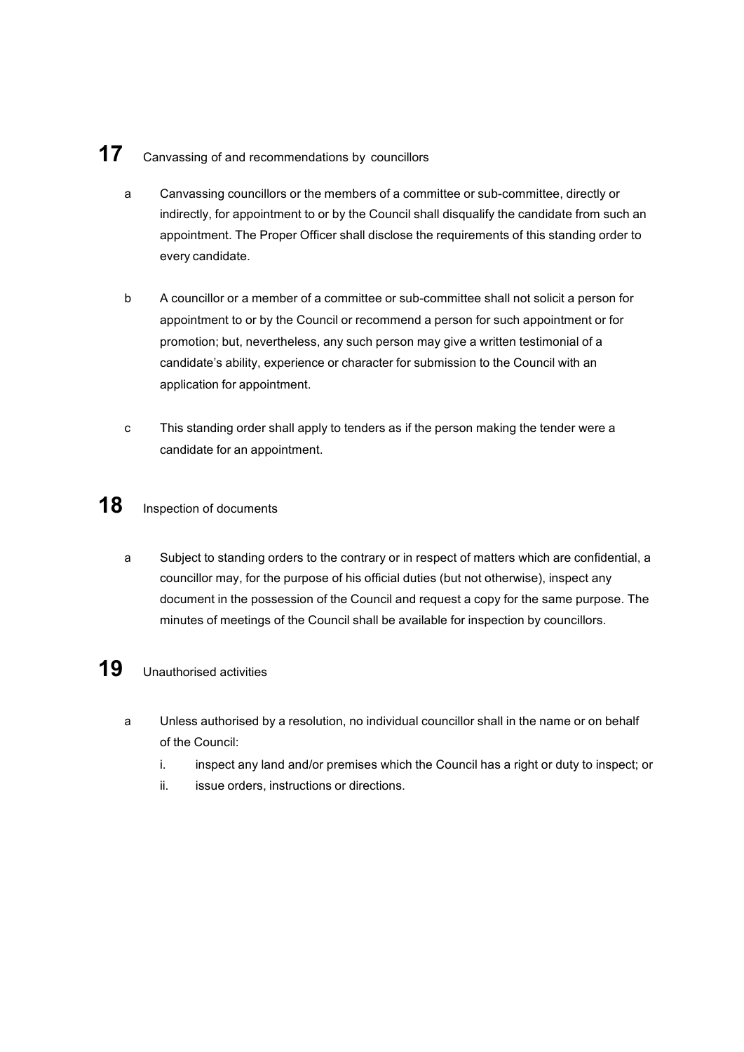# **17** Canvassing of and recommendations by councillors

- a Canvassing councillors or the members of a committee or sub-committee, directly or indirectly, for appointment to or by the Council shall disqualify the candidate from such an appointment. The Proper Officer shall disclose the requirements of this standing order to every candidate.
- b A councillor or a member of a committee or sub-committee shall not solicit a person for appointment to or by the Council or recommend a person for such appointment or for promotion; but, nevertheless, any such person may give a written testimonial of a candidate's ability, experience or character for submission to the Council with an application for appointment.
- c This standing order shall apply to tenders as if the person making the tender were a candidate for an appointment.

#### **18** Inspection of documents

a Subject to standing orders to the contrary or in respect of matters which are confidential, a councillor may, for the purpose of his official duties (but not otherwise), inspect any document in the possession of the Council and request a copy for the same purpose. The minutes of meetings of the Council shall be available for inspection by councillors.

### **19** Unauthorised activities

- a Unless authorised by a resolution, no individual councillor shall in the name or on behalf of the Council:
	- i. inspect any land and/or premises which the Council has a right or duty to inspect; or
	- ii. issue orders, instructions or directions.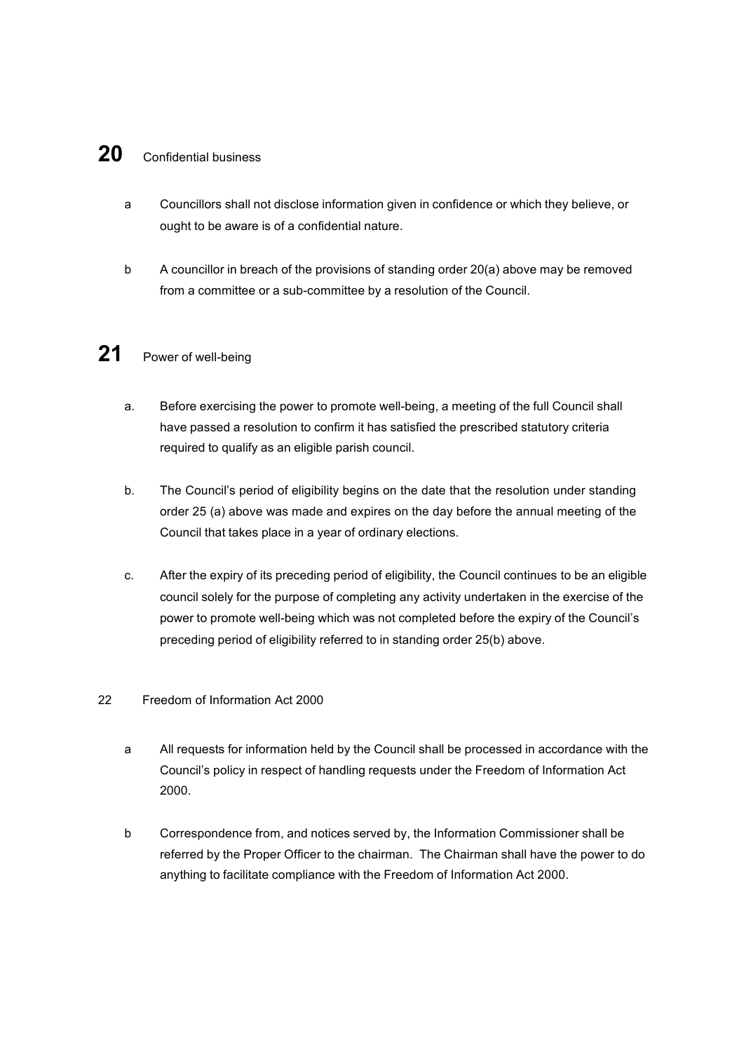#### **20** Confidential business

- a Councillors shall not disclose information given in confidence or which they believe, or ought to be aware is of a confidential nature.
- b A councillor in breach of the provisions of standing order 20(a) above may be removed from a committee or a sub-committee by a resolution of the Council.

#### **21** Power of well-being

- a. Before exercising the power to promote well-being, a meeting of the full Council shall have passed a resolution to confirm it has satisfied the prescribed statutory criteria required to qualify as an eligible parish council.
- b. The Council's period of eligibility begins on the date that the resolution under standing order 25 (a) above was made and expires on the day before the annual meeting of the Council that takes place in a year of ordinary elections.
- c. After the expiry of its preceding period of eligibility, the Council continues to be an eligible council solely for the purpose of completing any activity undertaken in the exercise of the power to promote well-being which was not completed before the expiry of the Council's preceding period of eligibility referred to in standing order 25(b) above.

#### 22 Freedom of Information Act 2000

- a All requests for information held by the Council shall be processed in accordance with the Council's policy in respect of handling requests under the Freedom of Information Act 2000.
- b Correspondence from, and notices served by, the Information Commissioner shall be referred by the Proper Officer to the chairman. The Chairman shall have the power to do anything to facilitate compliance with the Freedom of Information Act 2000.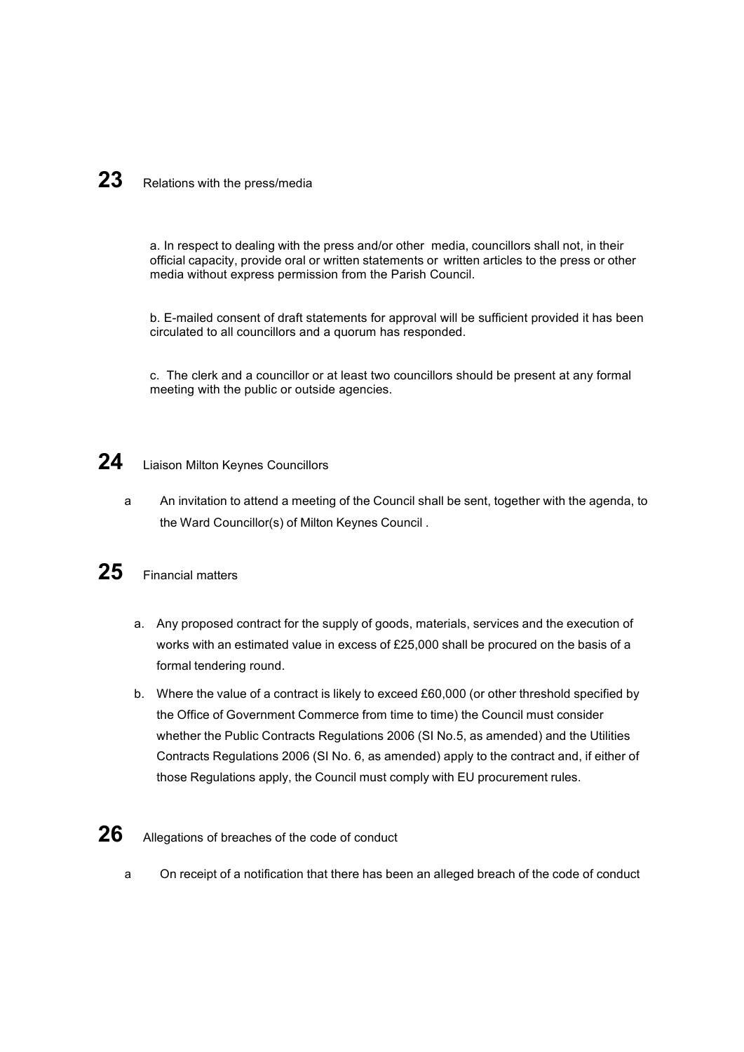# 23 Relations with the press/media

a. In respect to dealing with the press and/or other media, councillors shall not, in their official capacity, provide oral or written statements or written articles to the press or other media without express permission from the Parish Council.

b. E-mailed consent of draft statements for approval will be sufficient provided it has been circulated to all councillors and a quorum has responded.

c. The clerk and a councillor or at least two councillors should be present at any formal meeting with the public or outside agencies.

#### 24 Liaison Milton Keynes Councillors

a An invitation to attend a meeting of the Council shall be sent, together with the agenda, to the Ward Councillor(s) of Milton Keynes Council .

# **25** Financial matters

- a. Any proposed contract for the supply of goods, materials, services and the execution of works with an estimated value in excess of £25,000 shall be procured on the basis of a formal tendering round.
- b. Where the value of a contract is likely to exceed £60,000 (or other threshold specified by the Office of Government Commerce from time to time) the Council must consider whether the Public Contracts Regulations 2006 (SI No.5, as amended) and the Utilities Contracts Regulations 2006 (SI No. 6, as amended) apply to the contract and, if either of those Regulations apply, the Council must comply with EU procurement rules.

### **26** Allegations of breaches of the code of conduct

a On receipt of a notification that there has been an alleged breach of the code of conduct